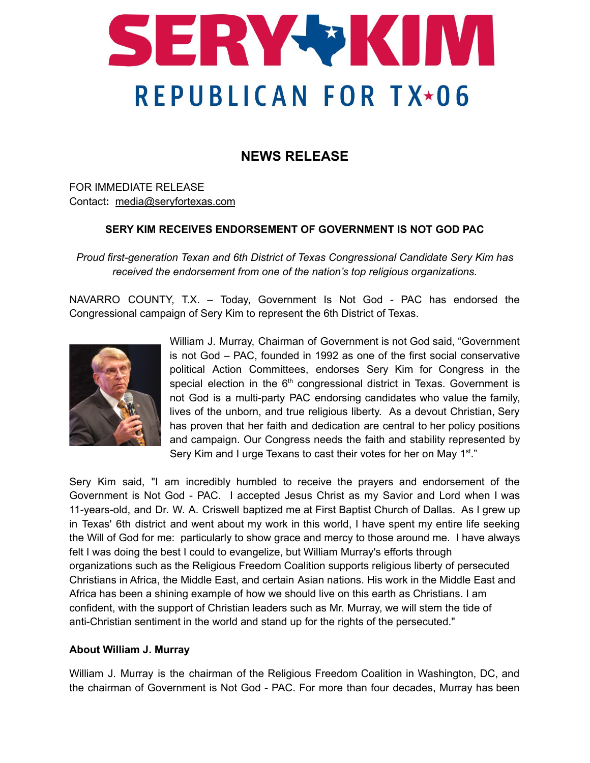

## **NEWS RELEASE**

FOR IMMEDIATE RELEASE Contact**:** [media@seryfortexas.com](mailto:media@seryfortexas.com)

## **SERY KIM RECEIVES ENDORSEMENT OF GOVERNMENT IS NOT GOD PAC**

*Proud first-generation Texan and 6th District of Texas Congressional Candidate Sery Kim has received the endorsement from one of the nation's top religious organizations.*

NAVARRO COUNTY, T.X. – Today, Government Is Not God - PAC has endorsed the Congressional campaign of Sery Kim to represent the 6th District of Texas.



William J. Murray, Chairman of Government is not God said, "Government is not God – PAC, founded in 1992 as one of the first social conservative political Action Committees, endorses Sery Kim for Congress in the special election in the  $6<sup>th</sup>$  congressional district in Texas. Government is not God is a multi-party PAC endorsing candidates who value the family, lives of the unborn, and true religious liberty. As a devout Christian, Sery has proven that her faith and dedication are central to her policy positions and campaign. Our Congress needs the faith and stability represented by Sery Kim and I urge Texans to cast their votes for her on May 1<sup>st</sup>."

Sery Kim said, "I am incredibly humbled to receive the prayers and endorsement of the Government is Not God - PAC. I accepted Jesus Christ as my Savior and Lord when I was 11-years-old, and Dr. W. A. Criswell baptized me at First Baptist Church of Dallas. As I grew up in Texas' 6th district and went about my work in this world, I have spent my entire life seeking the Will of God for me: particularly to show grace and mercy to those around me. I have always felt I was doing the best I could to evangelize, but William Murray's efforts through organizations such as the Religious Freedom Coalition supports religious liberty of persecuted Christians in Africa, the Middle East, and certain Asian nations. His work in the Middle East and Africa has been a shining example of how we should live on this earth as Christians. I am confident, with the support of Christian leaders such as Mr. Murray, we will stem the tide of anti-Christian sentiment in the world and stand up for the rights of the persecuted."

## **About William J. Murray**

William J. Murray is the chairman of the Religious Freedom Coalition in Washington, DC, and the chairman of Government is Not God - PAC. For more than four decades, Murray has been